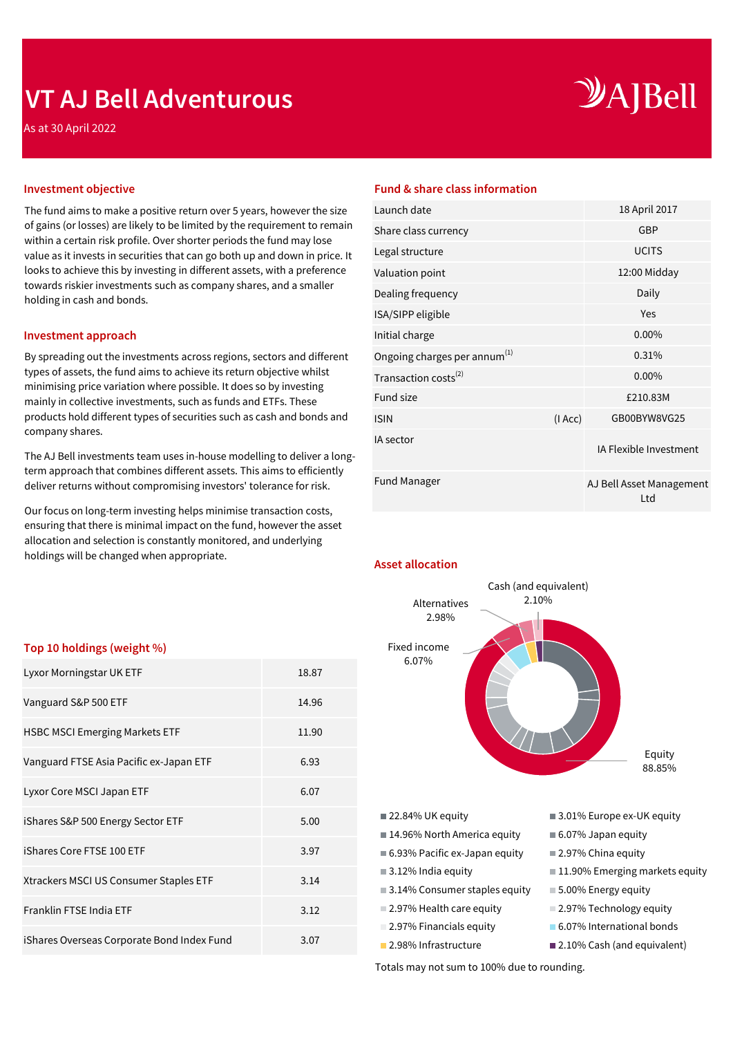## **VT AJ Bell Adventurous**

As at 30 April 2022

# $\mathcal{Y}$ A]Bell

The fund aims to make a positive return over 5 years, however the size of gains (or losses) are likely to be limited by the requirement to remain within a certain risk profile. Over shorter periods the fund may lose value as it invests in securities that can go both up and down in price. It looks to achieve this by investing in different assets, with a preference towards riskier investments such as company shares, and a smaller holding in cash and bonds.

#### **Investment approach**

By spreading out the investments across regions, sectors and different types of assets, the fund aims to achieve its return objective whilst minimising price variation where possible. It does so by investing mainly in collective investments, such as funds and ETFs. These products hold different types of securities such as cash and bonds and company shares.

The AJ Bell investments team uses in-house modelling to deliver a longterm approach that combines different assets. This aims to efficiently deliver returns without compromising investors' tolerance for risk.

Our focus on long-term investing helps minimise transaction costs, ensuring that there is minimal impact on the fund, however the asset allocation and selection is constantly monitored, and underlying holdings will be changed when appropriate.

### **Top 10 holdings (weight %)**

| Lyxor Morningstar UK ETF                   | 18.87 |
|--------------------------------------------|-------|
| Vanguard S&P 500 ETF                       | 14.96 |
| <b>HSBC MSCI Emerging Markets ETF</b>      | 11.90 |
| Vanguard FTSE Asia Pacific ex-Japan ETF    | 6.93  |
| Lyxor Core MSCI Japan ETF                  | 6.07  |
| iShares S&P 500 Energy Sector ETF          | 5.00  |
| iShares Core FTSE 100 ETF                  | 3.97  |
| Xtrackers MSCI US Consumer Staples ETF     | 3.14  |
| Franklin FTSE India ETF                    | 3.12  |
| iShares Overseas Corporate Bond Index Fund | 3.07  |

#### **Investment objective Fund & share class information**

| 18 April 2017                   |
|---------------------------------|
| <b>GBP</b>                      |
| <b>UCITS</b>                    |
| 12:00 Midday                    |
| Daily                           |
| Yes                             |
| $0.00\%$                        |
| 0.31%                           |
| $0.00\%$                        |
| £210.83M                        |
| GB00BYW8VG25                    |
| IA Flexible Investment          |
| AJ Bell Asset Management<br>Ltd |
| (IAcc)                          |

**Asset allocation**



Totals may not sum to 100% due to rounding.